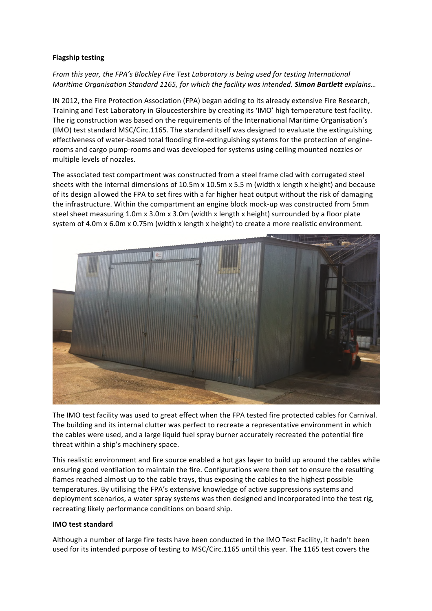## **Flagship testing**

*From this year, the FPA's Blockley Fire Test Laboratory is being used for testing International Maritime Organisation Standard 1165, for which the facility was intended. Simon Bartlett <i>explains...* 

IN 2012, the Fire Protection Association (FPA) began adding to its already extensive Fire Research, Training and Test Laboratory in Gloucestershire by creating its 'IMO' high temperature test facility. The rig construction was based on the requirements of the International Maritime Organisation's (IMO) test standard MSC/Circ.1165. The standard itself was designed to evaluate the extinguishing effectiveness of water-based total flooding fire-extinguishing systems for the protection of enginerooms and cargo pump-rooms and was developed for systems using ceiling mounted nozzles or multiple levels of nozzles.

The associated test compartment was constructed from a steel frame clad with corrugated steel sheets with the internal dimensions of 10.5m x 10.5m x 5.5 m (width x length x height) and because of its design allowed the FPA to set fires with a far higher heat output without the risk of damaging the infrastructure. Within the compartment an engine block mock-up was constructed from 5mm steel sheet measuring  $1.0$ m x  $3.0$ m x  $3.0$ m (width x length x height) surrounded by a floor plate system of 4.0m  $x$  6.0m  $x$  0.75m (width  $x$  length  $x$  height) to create a more realistic environment.



The IMO test facility was used to great effect when the FPA tested fire protected cables for Carnival. The building and its internal clutter was perfect to recreate a representative environment in which the cables were used, and a large liquid fuel spray burner accurately recreated the potential fire threat within a ship's machinery space.

This realistic environment and fire source enabled a hot gas layer to build up around the cables while ensuring good ventilation to maintain the fire. Configurations were then set to ensure the resulting flames reached almost up to the cable trays, thus exposing the cables to the highest possible temperatures. By utilising the FPA's extensive knowledge of active suppressions systems and deployment scenarios, a water spray systems was then designed and incorporated into the test rig, recreating likely performance conditions on board ship.

## **IMO** test standard

Although a number of large fire tests have been conducted in the IMO Test Facility, it hadn't been used for its intended purpose of testing to MSC/Circ.1165 until this year. The 1165 test covers the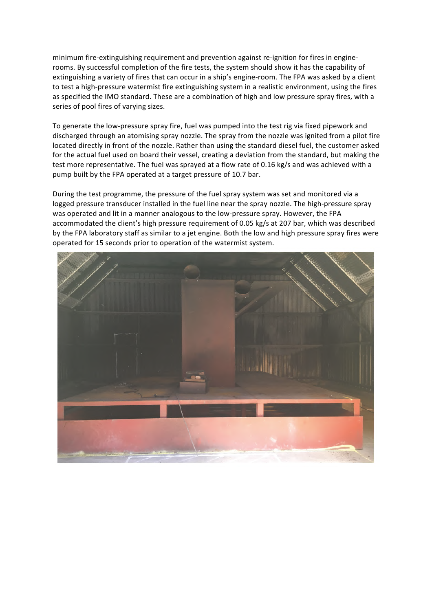minimum fire-extinguishing requirement and prevention against re-ignition for fires in enginerooms. By successful completion of the fire tests, the system should show it has the capability of extinguishing a variety of fires that can occur in a ship's engine-room. The FPA was asked by a client to test a high-pressure watermist fire extinguishing system in a realistic environment, using the fires as specified the IMO standard. These are a combination of high and low pressure spray fires, with a series of pool fires of varying sizes.

To generate the low-pressure spray fire, fuel was pumped into the test rig via fixed pipework and discharged through an atomising spray nozzle. The spray from the nozzle was ignited from a pilot fire located directly in front of the nozzle. Rather than using the standard diesel fuel, the customer asked for the actual fuel used on board their vessel, creating a deviation from the standard, but making the test more representative. The fuel was sprayed at a flow rate of 0.16 kg/s and was achieved with a pump built by the FPA operated at a target pressure of 10.7 bar.

During the test programme, the pressure of the fuel spray system was set and monitored via a logged pressure transducer installed in the fuel line near the spray nozzle. The high-pressure spray was operated and lit in a manner analogous to the low-pressure spray. However, the FPA accommodated the client's high pressure requirement of 0.05 kg/s at 207 bar, which was described by the FPA laboratory staff as similar to a jet engine. Both the low and high pressure spray fires were operated for 15 seconds prior to operation of the watermist system.

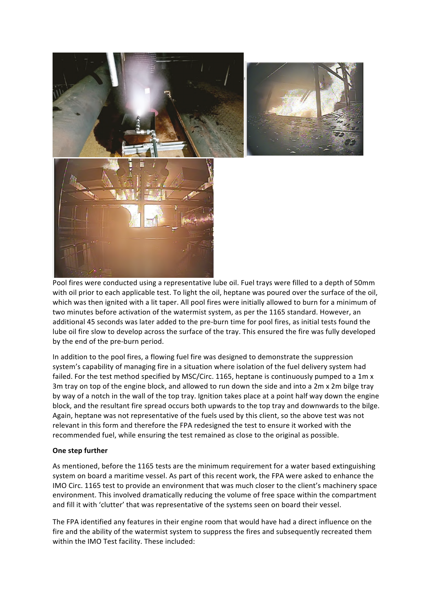

Pool fires were conducted using a representative lube oil. Fuel trays were filled to a depth of 50mm with oil prior to each applicable test. To light the oil, heptane was poured over the surface of the oil, which was then ignited with a lit taper. All pool fires were initially allowed to burn for a minimum of two minutes before activation of the watermist system, as per the 1165 standard. However, an additional 45 seconds was later added to the pre-burn time for pool fires, as initial tests found the lube oil fire slow to develop across the surface of the tray. This ensured the fire was fully developed by the end of the pre-burn period.

In addition to the pool fires, a flowing fuel fire was designed to demonstrate the suppression system's capability of managing fire in a situation where isolation of the fuel delivery system had failed. For the test method specified by MSC/Circ. 1165, heptane is continuously pumped to a 1m x 3m tray on top of the engine block, and allowed to run down the side and into a  $2m \times 2m$  bilge tray by way of a notch in the wall of the top tray. Ignition takes place at a point half way down the engine block, and the resultant fire spread occurs both upwards to the top tray and downwards to the bilge. Again, heptane was not representative of the fuels used by this client, so the above test was not relevant in this form and therefore the FPA redesigned the test to ensure it worked with the recommended fuel, while ensuring the test remained as close to the original as possible.

## **One step further**

As mentioned, before the 1165 tests are the minimum requirement for a water based extinguishing system on board a maritime vessel. As part of this recent work, the FPA were asked to enhance the IMO Circ. 1165 test to provide an environment that was much closer to the client's machinery space environment. This involved dramatically reducing the volume of free space within the compartment and fill it with 'clutter' that was representative of the systems seen on board their vessel.

The FPA identified any features in their engine room that would have had a direct influence on the fire and the ability of the watermist system to suppress the fires and subsequently recreated them within the IMO Test facility. These included: